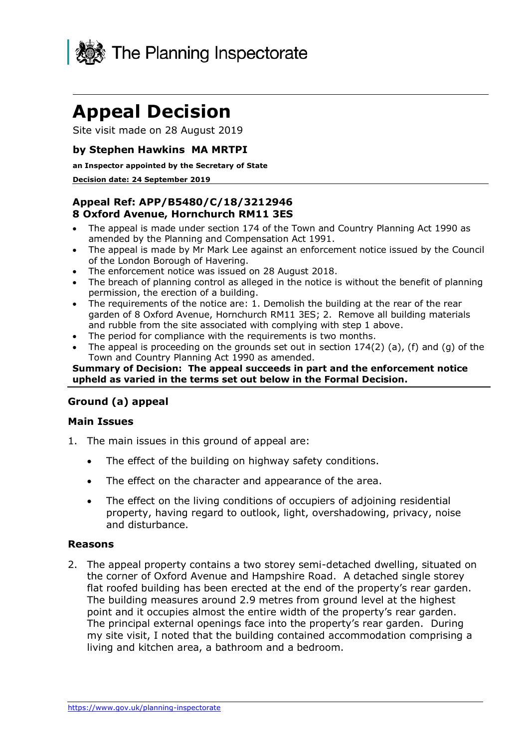

# **Appeal Decision**

Site visit made on 28 August 2019

#### **by Stephen Hawkins MA MRTPI**

#### **an Inspector appointed by the Secretary of State**

#### **Decision date: 24 September 2019**

## **Appeal Ref: APP/B5480/C/18/3212946 8 Oxford Avenue, Hornchurch RM11 3ES**

- • The appeal is made under section 174 of the Town and Country Planning Act 1990 as amended by the Planning and Compensation Act 1991.
- • The appeal is made by Mr Mark Lee against an enforcement notice issued by the Council of the London Borough of Havering.
- The enforcement notice was issued on 28 August 2018.
- • The breach of planning control as alleged in the notice is without the benefit of planning permission, the erection of a building.
- • The requirements of the notice are: 1. Demolish the building at the rear of the rear garden of 8 Oxford Avenue, Hornchurch RM11 3ES; 2. Remove all building materials and rubble from the site associated with complying with step 1 above.
- The period for compliance with the requirements is two months.
- The appeal is proceeding on the grounds set out in section  $174(2)$  (a), (f) and (g) of the Town and Country Planning Act 1990 as amended.

#### **Summary of Decision: The appeal succeeds in part and the enforcement notice upheld as varied in the terms set out below in the Formal Decision.**

## **Ground (a) appeal**

#### **Main Issues**

- 1. The main issues in this ground of appeal are:
	- The effect of the building on highway safety conditions.
	- The effect on the character and appearance of the area.
	- • The effect on the living conditions of occupiers of adjoining residential property, having regard to outlook, light, overshadowing, privacy, noise and disturbance.

#### **Reasons**

 2. The appeal property contains a two storey semi-detached dwelling, situated on the corner of Oxford Avenue and Hampshire Road. A detached single storey flat roofed building has been erected at the end of the property's rear garden. The building measures around 2.9 metres from ground level at the highest point and it occupies almost the entire width of the property's rear garden. The principal external openings face into the property's rear garden. During my site visit, I noted that the building contained accommodation comprising a living and kitchen area, a bathroom and a bedroom.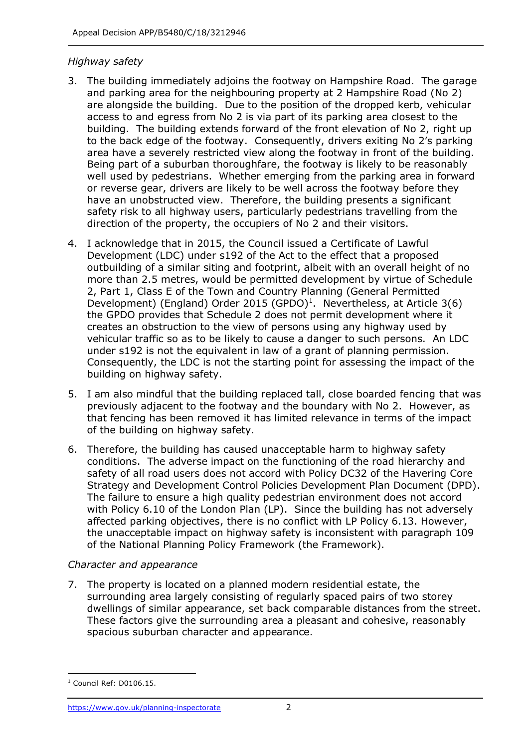## *Highway safety*

- 3. The building immediately adjoins the footway on Hampshire Road. The garage and parking area for the neighbouring property at 2 Hampshire Road (No 2) are alongside the building. Due to the position of the dropped kerb, vehicular access to and egress from No 2 is via part of its parking area closest to the building. The building extends forward of the front elevation of No 2, right up to the back edge of the footway. Consequently, drivers exiting No 2's parking area have a severely restricted view along the footway in front of the building. Being part of a suburban thoroughfare, the footway is likely to be reasonably well used by pedestrians. Whether emerging from the parking area in forward or reverse gear, drivers are likely to be well across the footway before they have an unobstructed view. Therefore, the building presents a significant safety risk to all highway users, particularly pedestrians travelling from the direction of the property, the occupiers of No 2 and their visitors.
- 4. I acknowledge that in 2015, the Council issued a Certificate of Lawful Development (LDC) under s192 of the Act to the effect that a proposed outbuilding of a similar siting and footprint, albeit with an overall height of no more than 2.5 metres, would be permitted development by virtue of Schedule 2, Part 1, Class E of the Town and Country Planning (General Permitted Development) (England) Order 2015 (GPDO)<sup>1</sup>. Nevertheless, at Article 3(6) the GPDO provides that Schedule 2 does not permit development where it creates an obstruction to the view of persons using any highway used by vehicular traffic so as to be likely to cause a danger to such persons. An LDC under s192 is not the equivalent in law of a grant of planning permission. Consequently, the LDC is not the starting point for assessing the impact of the building on highway safety.
- 5. I am also mindful that the building replaced tall, close boarded fencing that was previously adjacent to the footway and the boundary with No 2. However, as of the building on highway safety. that fencing has been removed it has limited relevance in terms of the impact
- 6. Therefore, the building has caused unacceptable harm to highway safety conditions. The adverse impact on the functioning of the road hierarchy and safety of all road users does not accord with Policy DC32 of the Havering Core Strategy and Development Control Policies Development Plan Document (DPD). The failure to ensure a high quality pedestrian environment does not accord with Policy 6.10 of the London Plan (LP). Since the building has not adversely affected parking objectives, there is no conflict with LP Policy 6.13. However, the unacceptable impact on highway safety is inconsistent with paragraph 109 of the National Planning Policy Framework (the Framework).

## *Character and appearance*

 7. The property is located on a planned modern residential estate, the surrounding area largely consisting of regularly spaced pairs of two storey dwellings of similar appearance, set back comparable distances from the street. These factors give the surrounding area a pleasant and cohesive, reasonably spacious suburban character and appearance.

 $1$  Council Ref: D0106.15.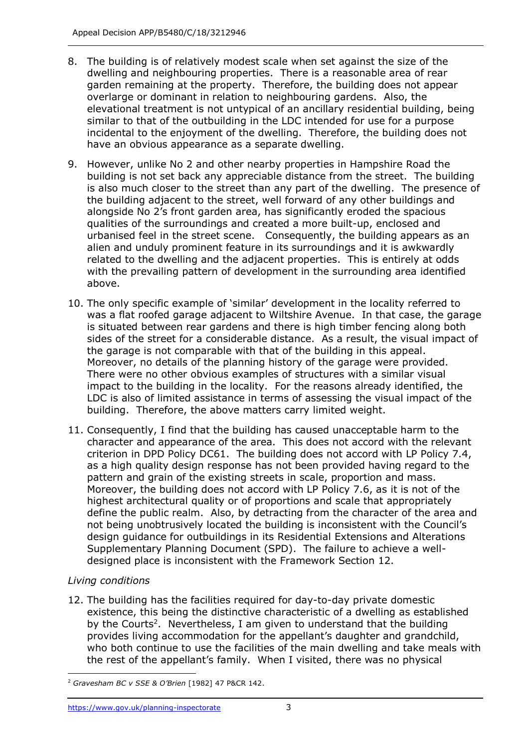- dwelling and neighbouring properties. There is a reasonable area of rear garden remaining at the property. Therefore, the building does not appear elevational treatment is not untypical of an ancillary residential building, being similar to that of the outbuilding in the LDC intended for use for a purpose incidental to the enjoyment of the dwelling. Therefore, the building does not have an obvious appearance as a separate dwelling. 8. The building is of relatively modest scale when set against the size of the overlarge or dominant in relation to neighbouring gardens. Also, the
- 9. However, unlike No 2 and other nearby properties in Hampshire Road the building is not set back any appreciable distance from the street. The building is also much closer to the street than any part of the dwelling. The presence of the building adjacent to the street, well forward of any other buildings and alongside No 2's front garden area, has significantly eroded the spacious qualities of the surroundings and created a more built-up, enclosed and urbanised feel in the street scene. Consequently, the building appears as an related to the dwelling and the adjacent properties. This is entirely at odds with the prevailing pattern of development in the surrounding area identified alien and unduly prominent feature in its surroundings and it is awkwardly above.
- 10. The only specific example of 'similar' development in the locality referred to was a flat roofed garage adjacent to Wiltshire Avenue. In that case, the garage is situated between rear gardens and there is high timber fencing along both sides of the street for a considerable distance. As a result, the visual impact of the garage is not comparable with that of the building in this appeal. Moreover, no details of the planning history of the garage were provided. There were no other obvious examples of structures with a similar visual impact to the building in the locality. For the reasons already identified, the LDC is also of limited assistance in terms of assessing the visual impact of the building. Therefore, the above matters carry limited weight.
- 11. Consequently, I find that the building has caused unacceptable harm to the character and appearance of the area. This does not accord with the relevant criterion in DPD Policy DC61. The building does not accord with LP Policy 7.4, as a high quality design response has not been provided having regard to the pattern and grain of the existing streets in scale, proportion and mass. Moreover, the building does not accord with LP Policy 7.6, as it is not of the define the public realm. Also, by detracting from the character of the area and not being unobtrusively located the building is inconsistent with the Council's design guidance for outbuildings in its Residential Extensions and Alterations Supplementary Planning Document (SPD). The failure to achieve a well- designed place is inconsistent with the Framework Section 12. highest architectural quality or of proportions and scale that appropriately

# *Living conditions*

 12. The building has the facilities required for day-to-day private domestic existence, this being the distinctive characteristic of a dwelling as established by the Courts<sup>2</sup>. Nevertheless, I am given to understand that the building provides living accommodation for the appellant's daughter and grandchild, who both continue to use the facilities of the main dwelling and take meals with the rest of the appellant's family. When I visited, there was no physical

 <sup>2</sup>*Gravesham BC v SSE & O'Brien* [1982] 47 P&CR 142.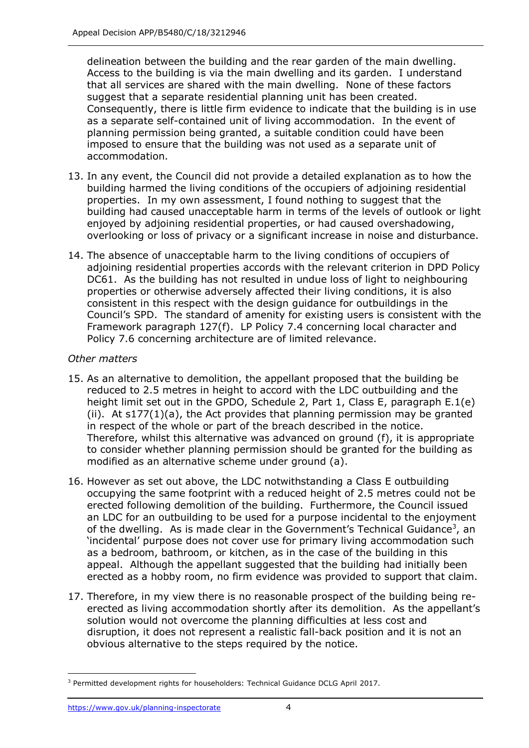delineation between the building and the rear garden of the main dwelling. Access to the building is via the main dwelling and its garden. I understand that all services are shared with the main dwelling. None of these factors suggest that a separate residential planning unit has been created. Consequently, there is little firm evidence to indicate that the building is in use as a separate self-contained unit of living accommodation. In the event of planning permission being granted, a suitable condition could have been imposed to ensure that the building was not used as a separate unit of accommodation.

- 13. In any event, the Council did not provide a detailed explanation as to how the building harmed the living conditions of the occupiers of adjoining residential properties. In my own assessment, I found nothing to suggest that the building had caused unacceptable harm in terms of the levels of outlook or light enjoyed by adjoining residential properties, or had caused overshadowing, overlooking or loss of privacy or a significant increase in noise and disturbance.
- 14. The absence of unacceptable harm to the living conditions of occupiers of adjoining residential properties accords with the relevant criterion in DPD Policy DC61. As the building has not resulted in undue loss of light to neighbouring consistent in this respect with the design guidance for outbuildings in the Council's SPD. The standard of amenity for existing users is consistent with the properties or otherwise adversely affected their living conditions, it is also Framework paragraph 127(f). LP Policy 7.4 concerning local character and Policy 7.6 concerning architecture are of limited relevance.

#### *Other matters*

- 15. As an alternative to demolition, the appellant proposed that the building be reduced to 2.5 metres in height to accord with the LDC outbuilding and the height limit set out in the GPDO, Schedule 2, Part 1, Class E, paragraph E.1(e) (ii). At s177(1)(a), the Act provides that planning permission may be granted in respect of the whole or part of the breach described in the notice. Therefore, whilst this alternative was advanced on ground (f), it is appropriate to consider whether planning permission should be granted for the building as modified as an alternative scheme under ground (a).
- occupying the same footprint with a reduced height of 2.5 metres could not be erected following demolition of the building. Furthermore, the Council issued an LDC for an outbuilding to be used for a purpose incidental to the enjoyment of the dwelling. As is made clear in the Government's Technical Guidance<sup>3</sup>, an 'incidental' purpose does not cover use for primary living accommodation such as a bedroom, bathroom, or kitchen, as in the case of the building in this appeal. Although the appellant suggested that the building had initially been erected as a hobby room, no firm evidence was provided to support that claim. 16. However as set out above, the LDC notwithstanding a Class E outbuilding
- 17. Therefore, in my view there is no reasonable prospect of the building being re- erected as living accommodation shortly after its demolition. As the appellant's solution would not overcome the planning difficulties at less cost and disruption, it does not represent a realistic fall-back position and it is not an obvious alternative to the steps required by the notice.

<sup>&</sup>lt;sup>3</sup> Permitted development rights for householders: Technical Guidance DCLG April 2017.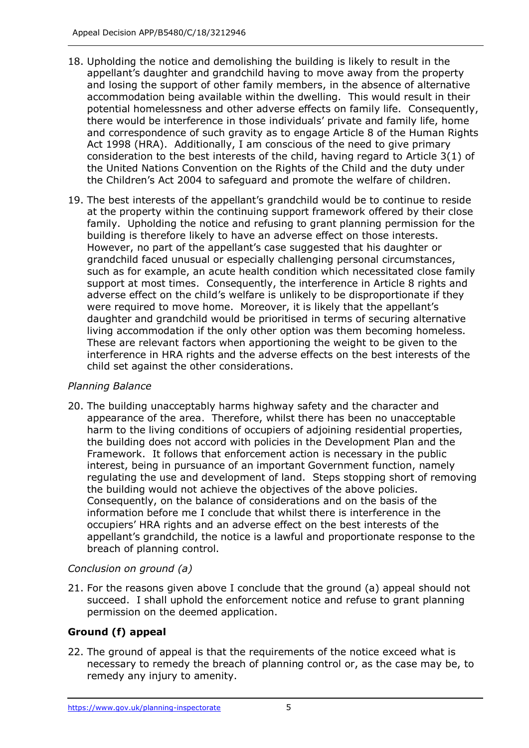- 18. Upholding the notice and demolishing the building is likely to result in the appellant's daughter and grandchild having to move away from the property and losing the support of other family members, in the absence of alternative potential homelessness and other adverse effects on family life. Consequently, there would be interference in those individuals' private and family life, home and correspondence of such gravity as to engage Article 8 of the Human Rights Act 1998 (HRA). Additionally, I am conscious of the need to give primary consideration to the best interests of the child, having regard to Article 3(1) of the United Nations Convention on the Rights of the Child and the duty under the Children's Act 2004 to safeguard and promote the welfare of children. accommodation being available within the dwelling. This would result in their
- at the property within the continuing support framework offered by their close family. Upholding the notice and refusing to grant planning permission for the building is therefore likely to have an adverse effect on those interests. grandchild faced unusual or especially challenging personal circumstances, support at most times. Consequently, the interference in Article 8 rights and adverse effect on the child's welfare is unlikely to be disproportionate if they were required to move home. Moreover, it is likely that the appellant's daughter and grandchild would be prioritised in terms of securing alternative living accommodation if the only other option was them becoming homeless. These are relevant factors when apportioning the weight to be given to the 19. The best interests of the appellant's grandchild would be to continue to reside However, no part of the appellant's case suggested that his daughter or such as for example, an acute health condition which necessitated close family interference in HRA rights and the adverse effects on the best interests of the child set against the other considerations.

## *Planning Balance*

 20. The building unacceptably harms highway safety and the character and appearance of the area. Therefore, whilst there has been no unacceptable harm to the living conditions of occupiers of adjoining residential properties, the building does not accord with policies in the Development Plan and the Framework. It follows that enforcement action is necessary in the public interest, being in pursuance of an important Government function, namely regulating the use and development of land. Steps stopping short of removing the building would not achieve the objectives of the above policies. Consequently, on the balance of considerations and on the basis of the information before me I conclude that whilst there is interference in the occupiers' HRA rights and an adverse effect on the best interests of the appellant's grandchild, the notice is a lawful and proportionate response to the breach of planning control.

# *Conclusion on ground (a)*

 21. For the reasons given above I conclude that the ground (a) appeal should not succeed. I shall uphold the enforcement notice and refuse to grant planning permission on the deemed application.

# **Ground (f) appeal**

 22. The ground of appeal is that the requirements of the notice exceed what is necessary to remedy the breach of planning control or, as the case may be, to remedy any injury to amenity.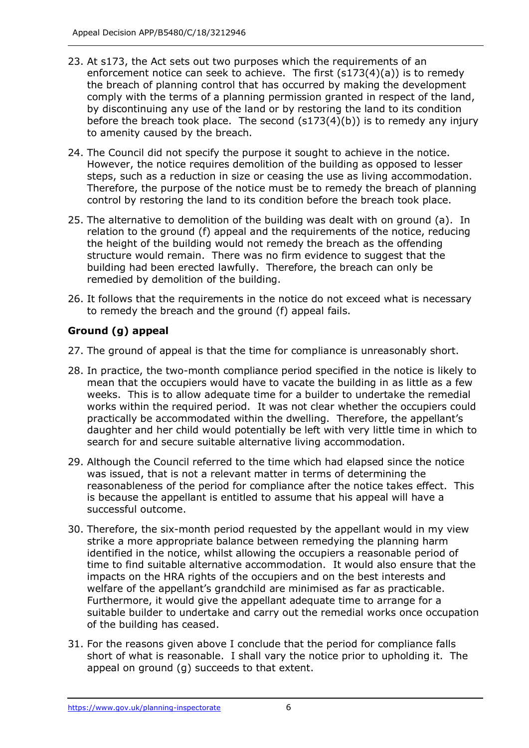- 23. At s173, the Act sets out two purposes which the requirements of an enforcement notice can seek to achieve. The first (s173(4)(a)) is to remedy the breach of planning control that has occurred by making the development comply with the terms of a planning permission granted in respect of the land, by discontinuing any use of the land or by restoring the land to its condition before the breach took place. The second (s173(4)(b)) is to remedy any injury to amenity caused by the breach.
- 24. The Council did not specify the purpose it sought to achieve in the notice. However, the notice requires demolition of the building as opposed to lesser steps, such as a reduction in size or ceasing the use as living accommodation. Therefore, the purpose of the notice must be to remedy the breach of planning control by restoring the land to its condition before the breach took place.
- 25. The alternative to demolition of the building was dealt with on ground (a). In relation to the ground (f) appeal and the requirements of the notice, reducing the height of the building would not remedy the breach as the offending structure would remain. There was no firm evidence to suggest that the building had been erected lawfully. Therefore, the breach can only be remedied by demolition of the building.
- 26. It follows that the requirements in the notice do not exceed what is necessary to remedy the breach and the ground (f) appeal fails.

# **Ground (g) appeal**

- 27. The ground of appeal is that the time for compliance is unreasonably short.
- 28. In practice, the two-month compliance period specified in the notice is likely to mean that the occupiers would have to vacate the building in as little as a few weeks. This is to allow adequate time for a builder to undertake the remedial works within the required period. It was not clear whether the occupiers could practically be accommodated within the dwelling. Therefore, the appellant's daughter and her child would potentially be left with very little time in which to search for and secure suitable alternative living accommodation.
- 29. Although the Council referred to the time which had elapsed since the notice was issued, that is not a relevant matter in terms of determining the reasonableness of the period for compliance after the notice takes effect. This is because the appellant is entitled to assume that his appeal will have a successful outcome.
- 30. Therefore, the six-month period requested by the appellant would in my view strike a more appropriate balance between remedying the planning harm identified in the notice, whilst allowing the occupiers a reasonable period of time to find suitable alternative accommodation. It would also ensure that the impacts on the HRA rights of the occupiers and on the best interests and welfare of the appellant's grandchild are minimised as far as practicable. Furthermore, it would give the appellant adequate time to arrange for a suitable builder to undertake and carry out the remedial works once occupation of the building has ceased.
- 31. For the reasons given above I conclude that the period for compliance falls short of what is reasonable. I shall vary the notice prior to upholding it. The appeal on ground (g) succeeds to that extent.